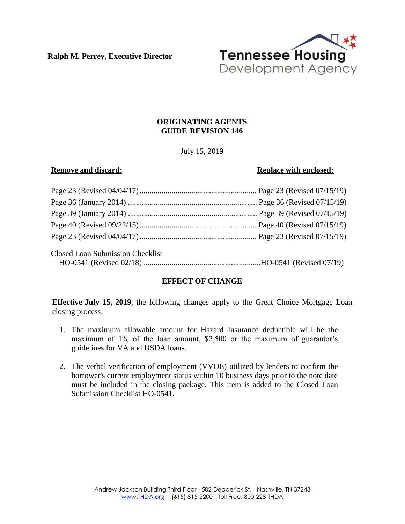**Ralph M. Perrey, Executive Director**



# **ORIGINATING AGENTS GUIDE REVISION 146**

July 15, 2019

#### **Remove** and discard: **Replace Replace** with **enclosed:**

| Closed Loan Submission Checklist |  |
|----------------------------------|--|
|                                  |  |

## **EFFECT OF CHANGE**

**Effective July 15, 2019**, the following changes apply to the Great Choice Mortgage Loan closing process:

- 1. The maximum allowable amount for Hazard Insurance deductible will be the maximum of 1% of the loan amount, \$2,500 or the maximum of guarantor's guidelines for VA and USDA loans.
- 2. The verbal verification of employment (VVOE) utilized by lenders to confirm the borrower's current employment status within 10 business days prior to the note date must be included in the closing package. This item is added to the Closed Loan Submission Checklist HO-0541.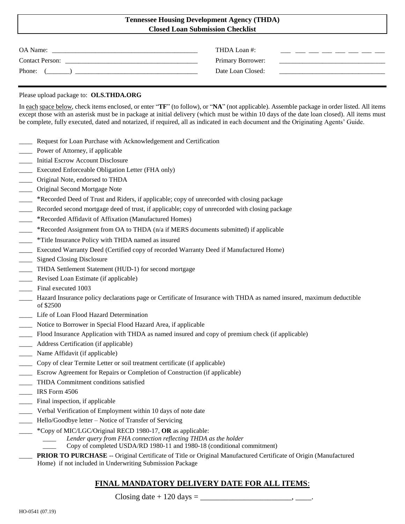## **Tennessee Housing Development Agency (THDA) Closed Loan Submission Checklist**

| OA Name:               | THDA Loan #:      |  |
|------------------------|-------------------|--|
| <b>Contact Person:</b> | Primary Borrower: |  |
| Phone:                 | Date Loan Closed: |  |

#### Please upload package to: **OLS.THDA.ORG**

In each space below, check items enclosed, or enter "**TF**" (to follow), or "**NA**" (not applicable). Assemble package in order listed. All items except those with an asterisk must be in package at initial delivery (which must be within 10 days of the date loan closed). All items must be complete, fully executed, dated and notarized, if required, all as indicated in each document and the Originating Agents' Guide.

- Request for Loan Purchase with Acknowledgement and Certification
- Power of Attorney, if applicable
- \_\_\_\_ Initial Escrow Account Disclosure
- \_\_\_\_ Executed Enforceable Obligation Letter (FHA only)
- \_\_\_\_ Original Note, endorsed to THDA
- \_\_\_\_ Original Second Mortgage Note
- \_\_\_\_ \*Recorded Deed of Trust and Riders, if applicable; copy of unrecorded with closing package
- Recorded second mortgage deed of trust, if applicable; copy of unrecorded with closing package
- \_\_\_\_ \*Recorded Affidavit of Affixation (Manufactured Homes)
- \_\_\_\_ \*Recorded Assignment from OA to THDA (n/a if MERS documents submitted) if applicable
- \_\_\_\_ \*Title Insurance Policy with THDA named as insured
- \_\_\_\_ Executed Warranty Deed (Certified copy of recorded Warranty Deed if Manufactured Home)
- Signed Closing Disclosure
- \_\_\_\_ THDA Settlement Statement (HUD-1) for second mortgage
- Revised Loan Estimate (if applicable)
- Final executed 1003
- \_\_\_\_ Hazard Insurance policy declarations page or Certificate of Insurance with THDA as named insured, maximum deductible of \$2500
- \_\_\_\_ Life of Loan Flood Hazard Determination
- Notice to Borrower in Special Flood Hazard Area, if applicable
- \_\_\_\_ Flood Insurance Application with THDA as named insured and copy of premium check (if applicable)
- Address Certification (if applicable)
- \_\_\_\_ Name Affidavit (if applicable)
- \_\_\_\_ Copy of clear Termite Letter or soil treatment certificate (if applicable)
- \_\_\_\_ Escrow Agreement for Repairs or Completion of Construction (if applicable)
- \_\_\_\_ THDA Commitment conditions satisfied
- \_\_\_\_ IRS Form 4506
- Final inspection, if applicable
- \_\_\_\_ Verbal Verification of Employment within 10 days of note date
- Hello/Goodbye letter Notice of Transfer of Servicing
- \_\_\_\_ \*Copy of MIC/LGC/Original RECD 1980-17, **OR** as applicable:
	- *\_\_\_\_ Lender query from FHA connection reflecting THDA as the holder*
	- \_\_\_\_ Copy of completed USDA/RD 1980-11 and 1980-18 (conditional commitment)
	- \_\_\_\_ **PRIOR TO PURCHASE** -- Original Certificate of Title or Original Manufactured Certificate of Origin (Manufactured Home) if not included in Underwriting Submission Package

# **FINAL MANDATORY DELIVERY DATE FOR ALL ITEMS**:

Closing date + 120 days = \_\_\_\_\_\_\_\_\_\_\_\_\_\_\_\_\_\_\_\_\_\_\_, \_\_\_\_.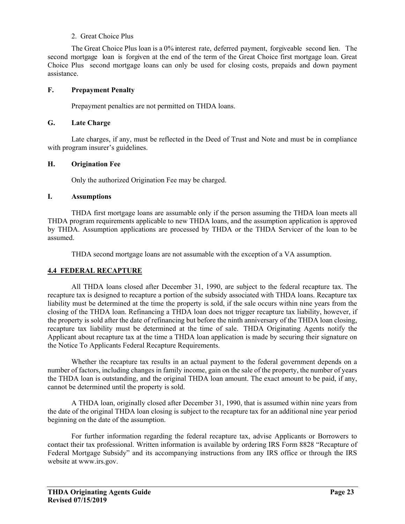## 2. Great Choice Plus

 The Great Choice Plus loan is a 0% interest rate, deferred payment, forgiveable second lien. The second mortgage loan is forgiven at the end of the term of the Great Choice first mortgage loan. Great Choice Plus second mortgage loans can only be used for closing costs, prepaids and down payment assistance.

### **F. Prepayment Penalty**

Prepayment penalties are not permitted on THDA loans.

#### **G. Late Charge**

Late charges, if any, must be reflected in the Deed of Trust and Note and must be in compliance with program insurer's guidelines.

## **H. Origination Fee**

Only the authorized Origination Fee may be charged.

### **I. Assumptions**

THDA first mortgage loans are assumable only if the person assuming the THDA loan meets all THDA program requirements applicable to new THDA loans, and the assumption application is approved by THDA. Assumption applications are processed by THDA or the THDA Servicer of the loan to be assumed.

THDA second mortgage loans are not assumable with the exception of a VA assumption.

## **4.4 FEDERAL RECAPTURE**

All THDA loans closed after December 31, 1990, are subject to the federal recapture tax. The recapture tax is designed to recapture a portion of the subsidy associated with THDA loans. Recapture tax liability must be determined at the time the property is sold, if the sale occurs within nine years from the closing of the THDA loan. Refinancing a THDA loan does not trigger recapture tax liability, however, if the property is sold after the date of refinancing but before the ninth anniversary of the THDA loan closing, recapture tax liability must be determined at the time of sale. THDA Originating Agents notify the Applicant about recapture tax at the time a THDA loan application is made by securing their signature on the Notice To Applicants Federal Recapture Requirements.

Whether the recapture tax results in an actual payment to the federal government depends on a number of factors, including changes in family income, gain on the sale of the property, the number of years the THDA loan is outstanding, and the original THDA loan amount. The exact amount to be paid, if any, cannot be determined until the property is sold.

A THDA loan, originally closed after December 31, 1990, that is assumed within nine years from the date of the original THDA loan closing is subject to the recapture tax for an additional nine year period beginning on the date of the assumption.

For further information regarding the federal recapture tax, advise Applicants or Borrowers to contact their tax professional. Written information is available by ordering IRS Form 8828 "Recapture of Federal Mortgage Subsidy" and its accompanying instructions from any IRS office or through the IRS website at www.irs.gov.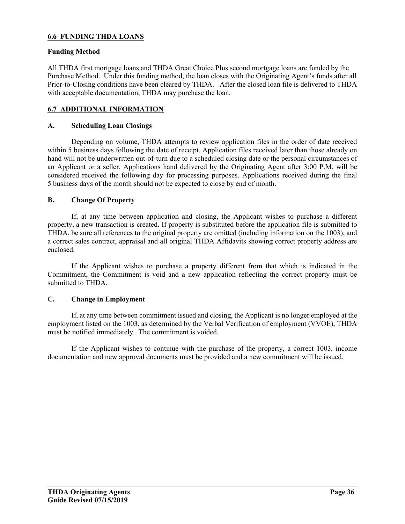## **6.6 FUNDING THDA LOANS**

#### **Funding Method**

All THDA first mortgage loans and THDA Great Choice Plus second mortgage loans are funded by the Purchase Method. Under this funding method, the loan closes with the Originating Agent's funds after all Prior-to-Closing conditions have been cleared by THDA. After the closed loan file is delivered to THDA with acceptable documentation, THDA may purchase the loan.

## **6.7 ADDITIONAL INFORMATION**

## **A. Scheduling Loan Closings**

Depending on volume, THDA attempts to review application files in the order of date received within 5 business days following the date of receipt. Application files received later than those already on hand will not be underwritten out-of-turn due to a scheduled closing date or the personal circumstances of an Applicant or a seller. Applications hand delivered by the Originating Agent after 3:00 P.M. will be considered received the following day for processing purposes. Applications received during the final 5 business days of the month should not be expected to close by end of month.

### **B. Change Of Property**

If, at any time between application and closing, the Applicant wishes to purchase a different property, a new transaction is created. If property is substituted before the application file is submitted to THDA, be sure all references to the original property are omitted (including information on the 1003), and a correct sales contract, appraisal and all original THDA Affidavits showing correct property address are enclosed.

If the Applicant wishes to purchase a property different from that which is indicated in the Commitment, the Commitment is void and a new application reflecting the correct property must be submitted to THDA.

#### **C. Change in Employment**

If, at any time between commitment issued and closing, the Applicant is no longer employed at the employment listed on the 1003, as determined by the Verbal Verification of employment (VVOE), THDA must be notified immediately. The commitment is voided.

If the Applicant wishes to continue with the purchase of the property, a correct 1003, income documentation and new approval documents must be provided and a new commitment will be issued.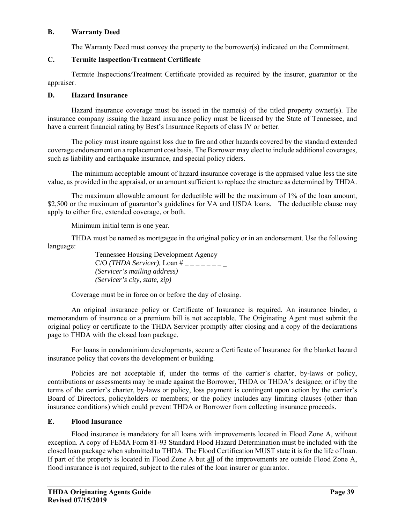#### **B. Warranty Deed**

The Warranty Deed must convey the property to the borrower(s) indicated on the Commitment.

# **C. Termite Inspection/Treatment Certificate**

Termite Inspections/Treatment Certificate provided as required by the insurer, guarantor or the appraiser.

## **D. Hazard Insurance**

Hazard insurance coverage must be issued in the name(s) of the titled property owner(s). The insurance company issuing the hazard insurance policy must be licensed by the State of Tennessee, and have a current financial rating by Best's Insurance Reports of class IV or better.

The policy must insure against loss due to fire and other hazards covered by the standard extended coverage endorsement on a replacement cost basis. The Borrower may elect to include additional coverages, such as liability and earthquake insurance, and special policy riders.

The minimum acceptable amount of hazard insurance coverage is the appraised value less the site value, as provided in the appraisal, or an amount sufficient to replace the structure as determined by THDA.

The maximum allowable amount for deductible will be the maximum of 1% of the loan amount, \$2,500 or the maximum of guarantor's guidelines for VA and USDA loans. The deductible clause may apply to either fire, extended coverage, or both.

Minimum initial term is one year.

THDA must be named as mortgagee in the original policy or in an endorsement. Use the following language:

> Tennessee Housing Development Agency C/O *(THDA Servicer),* Loan # *\_ \_ \_ \_ \_ \_ \_* \_ *(Servicer's mailing address) (Servicer's city, state, zip)*

Coverage must be in force on or before the day of closing.

An original insurance policy or Certificate of Insurance is required. An insurance binder, a memorandum of insurance or a premium bill is not acceptable. The Originating Agent must submit the original policy or certificate to the THDA Servicer promptly after closing and a copy of the declarations page to THDA with the closed loan package.

For loans in condominium developments, secure a Certificate of Insurance for the blanket hazard insurance policy that covers the development or building.

Policies are not acceptable if, under the terms of the carrier's charter, by-laws or policy, contributions or assessments may be made against the Borrower, THDA or THDA's designee; or if by the terms of the carrier's charter, by-laws or policy, loss payment is contingent upon action by the carrier's Board of Directors, policyholders or members; or the policy includes any limiting clauses (other than insurance conditions) which could prevent THDA or Borrower from collecting insurance proceeds.

# **E. Flood Insurance**

Flood insurance is mandatory for all loans with improvements located in Flood Zone A, without exception. A copy of FEMA Form 81-93 Standard Flood Hazard Determination must be included with the closed loan package when submitted to THDA. The Flood Certification MUST state it is for the life of loan. If part of the property is located in Flood Zone A but all of the improvements are outside Flood Zone A, flood insurance is not required, subject to the rules of the loan insurer or guarantor.